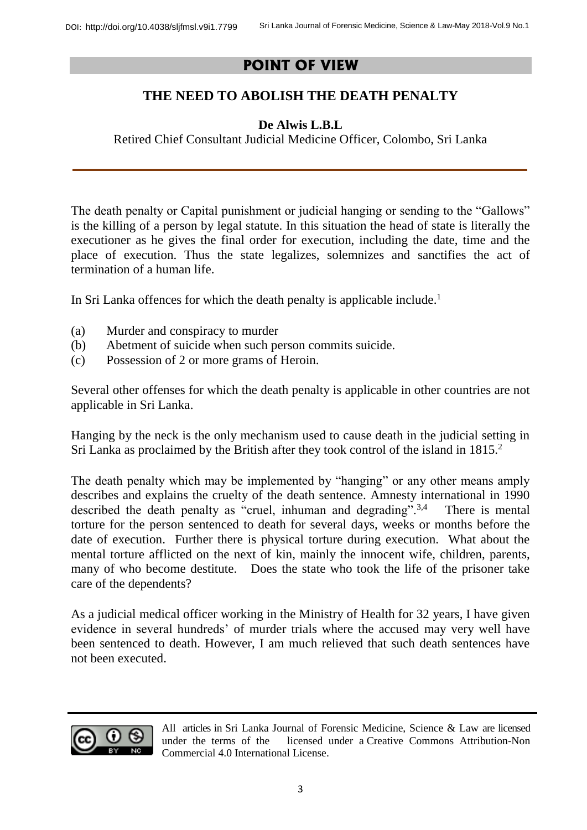## **POINT OF VIEW**

## **THE NEED TO ABOLISH THE DEATH PENALTY**

## **De Alwis L.B.L**

Retired Chief Consultant Judicial Medicine Officer, Colombo, Sri Lanka

The death penalty or Capital punishment or judicial hanging or sending to the "Gallows" is the killing of a person by legal statute. In this situation the head of state is literally the executioner as he gives the final order for execution, including the date, time and the place of execution. Thus the state legalizes, solemnizes and sanctifies the act of termination of a human life.

In Sri Lanka offences for which the death penalty is applicable include. 1

- (a) Murder and conspiracy to murder
- (b) Abetment of suicide when such person commits suicide.
- (c) Possession of 2 or more grams of Heroin.

Several other offenses for which the death penalty is applicable in other countries are not applicable in Sri Lanka.

Hanging by the neck is the only mechanism used to cause death in the judicial setting in Sri Lanka as proclaimed by the British after they took control of the island in 1815. 2

The death penalty which may be implemented by "hanging" or any other means amply describes and explains the cruelty of the death sentence. Amnesty international in 1990 described the death penalty as "cruel, inhuman and degrading".<sup>3,4</sup> There is mental torture for the person sentenced to death for several days, weeks or months before the date of execution. Further there is physical torture during execution. What about the mental torture afflicted on the next of kin, mainly the innocent wife, children, parents, many of who become destitute. Does the state who took the life of the prisoner take care of the dependents?

As a judicial medical officer working in the Ministry of Health for 32 years, I have given evidence in several hundreds' of murder trials where the accused may very well have been sentenced to death. However, I am much relieved that such death sentences have not been executed.



All articles in Sri Lanka Journal of Forensic Medicine, Science & Law are licensed under the terms of the licensed under a [Creative Commons Attribution-Non](http://creativecommons.org/licenses/by-nc/4.0/)  [Commercial 4.0 International License.](http://creativecommons.org/licenses/by-nc/4.0/)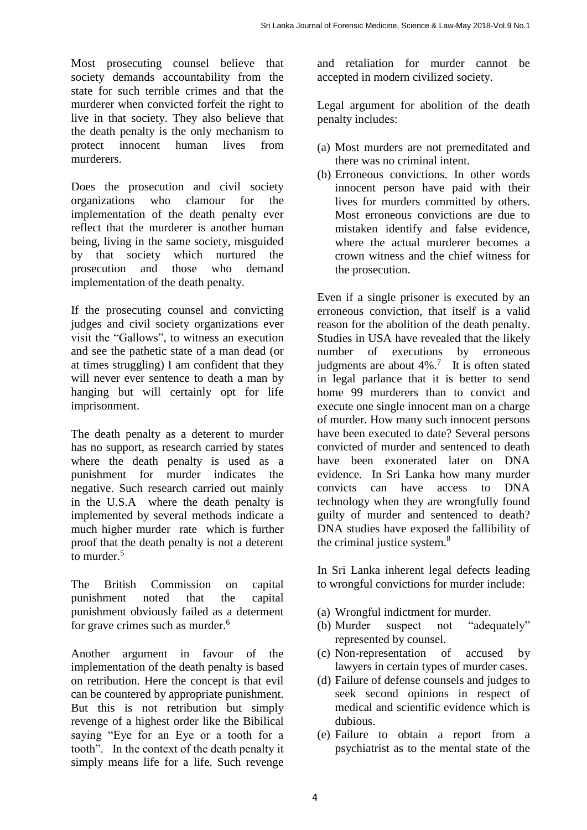Most prosecuting counsel believe that society demands accountability from the state for such terrible crimes and that the murderer when convicted forfeit the right to live in that society. They also believe that the death penalty is the only mechanism to protect innocent human lives from murderers.

Does the prosecution and civil society organizations who clamour for the implementation of the death penalty ever reflect that the murderer is another human being, living in the same society, misguided by that society which nurtured the prosecution and those who demand implementation of the death penalty.

If the prosecuting counsel and convicting judges and civil society organizations ever visit the "Gallows", to witness an execution and see the pathetic state of a man dead (or at times struggling) I am confident that they will never ever sentence to death a man by hanging but will certainly opt for life imprisonment.

The death penalty as a deterent to murder has no support, as research carried by states where the death penalty is used as a punishment for murder indicates the negative. Such research carried out mainly in the U.S.A where the death penalty is implemented by several methods indicate a much higher murder rate which is further proof that the death penalty is not a deterent to murder. $5$ 

The British Commission on capital punishment noted that the capital punishment obviously failed as a determent for grave crimes such as murder.<sup>6</sup>

Another argument in favour of the implementation of the death penalty is based on retribution. Here the concept is that evil can be countered by appropriate punishment. But this is not retribution but simply revenge of a highest order like the Bibilical saying "Eye for an Eye or a tooth for a tooth". In the context of the death penalty it simply means life for a life. Such revenge

and retaliation for murder cannot be accepted in modern civilized society.

Legal argument for abolition of the death penalty includes:

- (a) Most murders are not premeditated and there was no criminal intent.
- (b) Erroneous convictions. In other words innocent person have paid with their lives for murders committed by others. Most erroneous convictions are due to mistaken identify and false evidence, where the actual murderer becomes a crown witness and the chief witness for the prosecution.

Even if a single prisoner is executed by an erroneous conviction, that itself is a valid reason for the abolition of the death penalty. Studies in USA have revealed that the likely number of executions by erroneous judgments are about  $4\%$ .<sup>7</sup> It is often stated in legal parlance that it is better to send home 99 murderers than to convict and execute one single innocent man on a charge of murder. How many such innocent persons have been executed to date? Several persons convicted of murder and sentenced to death have been exonerated later on DNA evidence. In Sri Lanka how many murder convicts can have access to DNA technology when they are wrongfully found guilty of murder and sentenced to death? DNA studies have exposed the fallibility of the criminal justice system.<sup>8</sup>

In Sri Lanka inherent legal defects leading to wrongful convictions for murder include:

- (a) Wrongful indictment for murder.
- (b) Murder suspect not "adequately" represented by counsel.
- (c) Non-representation of accused by lawyers in certain types of murder cases.
- (d) Failure of defense counsels and judges to seek second opinions in respect of medical and scientific evidence which is dubious.
- (e) Failure to obtain a report from a psychiatrist as to the mental state of the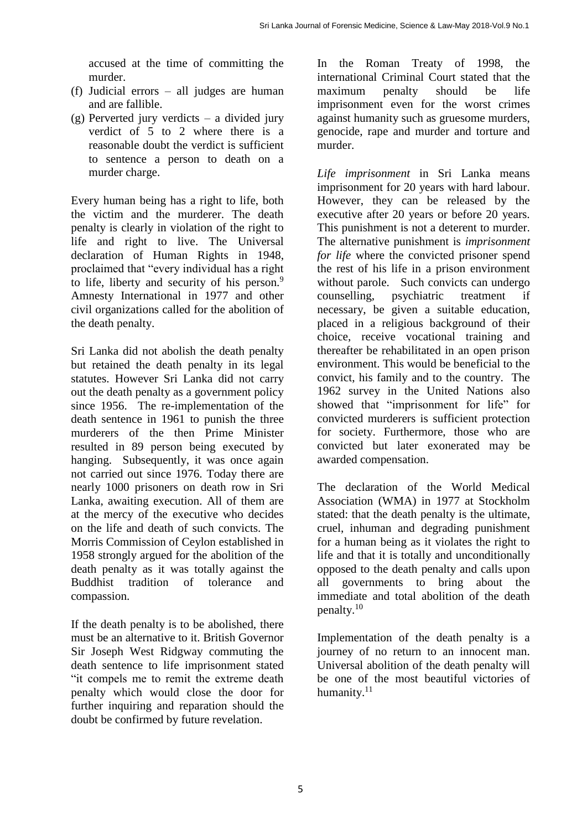accused at the time of committing the murder.

- (f) Judicial errors all judges are human and are fallible.
- (g) Perverted jury verdicts a divided jury verdict of 5 to 2 where there is a reasonable doubt the verdict is sufficient to sentence a person to death on a murder charge.

Every human being has a right to life, both the victim and the murderer. The death penalty is clearly in violation of the right to life and right to live. The Universal declaration of Human Rights in 1948, proclaimed that "every individual has a right to life, liberty and security of his person. $9$ Amnesty International in 1977 and other civil organizations called for the abolition of the death penalty.

Sri Lanka did not abolish the death penalty but retained the death penalty in its legal statutes. However Sri Lanka did not carry out the death penalty as a government policy since 1956. The re-implementation of the death sentence in 1961 to punish the three murderers of the then Prime Minister resulted in 89 person being executed by hanging. Subsequently, it was once again not carried out since 1976. Today there are nearly 1000 prisoners on death row in Sri Lanka, awaiting execution. All of them are at the mercy of the executive who decides on the life and death of such convicts. The Morris Commission of Ceylon established in 1958 strongly argued for the abolition of the death penalty as it was totally against the Buddhist tradition of tolerance and compassion.

If the death penalty is to be abolished, there must be an alternative to it. British Governor Sir Joseph West Ridgway commuting the death sentence to life imprisonment stated "it compels me to remit the extreme death penalty which would close the door for further inquiring and reparation should the doubt be confirmed by future revelation.

In the Roman Treaty of 1998, the international Criminal Court stated that the maximum penalty should be life imprisonment even for the worst crimes against humanity such as gruesome murders, genocide, rape and murder and torture and murder.

*Life imprisonment* in Sri Lanka means imprisonment for 20 years with hard labour. However, they can be released by the executive after 20 years or before 20 years. This punishment is not a deterent to murder. The alternative punishment is *imprisonment for life* where the convicted prisoner spend the rest of his life in a prison environment without parole. Such convicts can undergo counselling, psychiatric treatment if necessary, be given a suitable education, placed in a religious background of their choice, receive vocational training and thereafter be rehabilitated in an open prison environment. This would be beneficial to the convict, his family and to the country. The 1962 survey in the United Nations also showed that "imprisonment for life" for convicted murderers is sufficient protection for society. Furthermore, those who are convicted but later exonerated may be awarded compensation.

The declaration of the World Medical Association (WMA) in 1977 at Stockholm stated: that the death penalty is the ultimate, cruel, inhuman and degrading punishment for a human being as it violates the right to life and that it is totally and unconditionally opposed to the death penalty and calls upon all governments to bring about the immediate and total abolition of the death penalty.<sup>10</sup>

Implementation of the death penalty is a journey of no return to an innocent man. Universal abolition of the death penalty will be one of the most beautiful victories of humanity.<sup>11</sup>